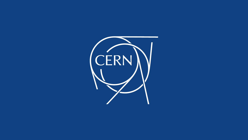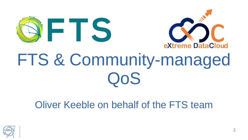



# FTS & Community-managed OoS

### Oliver Keeble on behalf of the FTS team

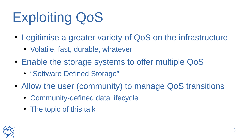# Exploiting QoS

- Legitimise a greater variety of QoS on the infrastructure
	- Volatile, fast, durable, whatever
- Enable the storage systems to offer multiple QoS
	- "Software Defined Storage"
- Allow the user (community) to manage QoS transitions
	- Community-defined data lifecycle
	- The topic of this talk

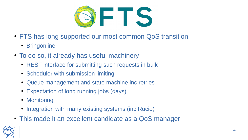

- FTS has long supported our most common QoS transition
	- Bringonline
- To do so, it already has useful machinery
	- REST interface for submitting such requests in bulk
	- Scheduler with submission limiting
	- Queue management and state machine inc retries
	- Expectation of long running jobs (days)
	- Monitoring
	- Integration with many existing systems (inc Rucio)
- This made it an excellent candidate as a QoS manager

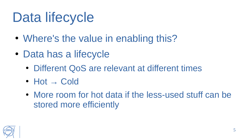# Data lifecycle

- Where's the value in enabling this?
- Data has a lifecycle
	- Different QoS are relevant at different times
	- Hot  $\rightarrow$  Cold
	- More room for hot data if the less-used stuff can be stored more efficiently

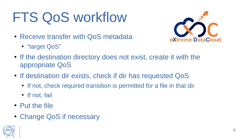# FTS QoS workflow

- Receive transfer with QoS metadata
	- "target QoS"



- If the destination directory does not exist, create it with the appropriate QoS
- If destination dir exists, check if dir has requested QoS
	- If not, check required transition is permitted for a file in that dir
	- If not, fail
- Put the file
- Change QoS if necessary

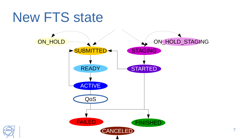### New FTS state



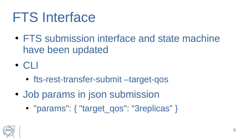### FTS Interface

• FTS submission interface and state machine have been updated

 $\cdot$  CLI

- fts-rest-transfer-submit –target-qos
- Job params in json submission
	- "params": { "target\_qos": "3replicas" }

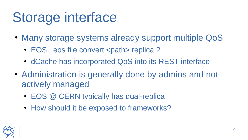### Storage interface

- Many storage systems already support multiple QoS
	- EOS : eos file convert <path> replica:2
	- dCache has incorporated QoS into its REST interface
- Administration is generally done by admins and not actively managed
	- EOS @ CERN typically has dual-replica
	- How should it be exposed to frameworks?

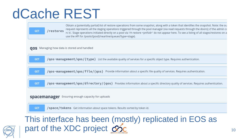### dCache REST

part of the XDC project SSC

| <b>GET</b>                                               | Obtain a (potentially partial) list of restore operations from some snapshot, along with a token that identifies the snapshot. Note: the ou<br>request represents all the staging operations triggered through the pool manager (via read requests through the doors); cf the admin co<br>/restores<br>rc Is'. Stage operations initiated directly on a pool via 'rh restore <pnfsid>' do not appear here. To see a listing of all stages/restores on a<br/>use the API for /pools/{pool}/nearline/queues?type=stage).</pnfsid> |
|----------------------------------------------------------|---------------------------------------------------------------------------------------------------------------------------------------------------------------------------------------------------------------------------------------------------------------------------------------------------------------------------------------------------------------------------------------------------------------------------------------------------------------------------------------------------------------------------------|
|                                                          | <b>QOS</b> Managing how data is stored and handled                                                                                                                                                                                                                                                                                                                                                                                                                                                                              |
| <b>GET</b>                                               | /qos-management/qos/{type} List the available quality of services for a specific object type. Requires authentication.                                                                                                                                                                                                                                                                                                                                                                                                          |
| <b>GET</b>                                               | /qos-management/qos/file/{qos} Provide information about a specific file quality of services. Requires authentication.                                                                                                                                                                                                                                                                                                                                                                                                          |
| <b>GET</b>                                               | $\gamma$ qos-management/qos/directory/{qos} Provides information about a specific directory quality of services. Requires authentication.                                                                                                                                                                                                                                                                                                                                                                                       |
| <b>spacemanager</b> Ensuring enough capacity for uploads |                                                                                                                                                                                                                                                                                                                                                                                                                                                                                                                                 |
| <b>GET</b>                                               | /space/tokens Get information about space tokens. Results sorted by token id.                                                                                                                                                                                                                                                                                                                                                                                                                                                   |
| This interface has been (mostly) replicated in EOS as    |                                                                                                                                                                                                                                                                                                                                                                                                                                                                                                                                 |

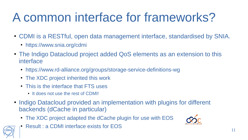### A common interface for frameworks?

- CDMI is a RESTful, open data management interface, standardised by SNIA.
	- https://www.snia.org/cdmi
- The Indigo Datacloud project added QoS elements as an extension to this interface
	- https://www.rd-alliance.org/groups/storage-service-definitions-wg
	- The XDC project inherited this work
	- This is the interface that FTS uses
		- It does not use the rest of CDMI!
- Indigo Datacloud provided an implementation with plugins for different backends (dCache in particular)
	- The XDC project adapted the dCache plugin for use with EOS
	- Result : a CDMI interface exists for EOS

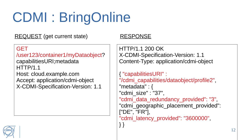REQUEST (get current state) RESPONSE

#### **GET**

/user123/container1/myDataobject? capabilitiesURI;metadata HTTP/1.1 Host: cloud.example.com Accept: application/cdmi-object X-CDMI-Specification-Version: 1.1

HTTP/1.1 200 OK X-CDMI-Specification-Version: 1.1 Content-Type: application/cdmi-object

```
{ "capabilitiesURI" : 
"/cdmi_capabilities/dataobject/profile2",
"metadata" : {
"cdmi_size" : "37",
"cdmi data redundancy provided": "3",
"cdmi_geographic_placement_provided":
["DE", "FR"],
"cdmi_latency_provided": "3600000",
} }
```
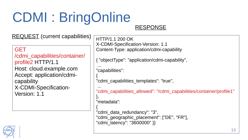#### RESPONSE

REQUEST (current capabilities)

**GFT** /cdmi\_capabilities/container/ profile2 HTTP/1.1 Host: cloud.example.com Accept: application/cdmicapability X-CDMI-Specification-Version: 1.1

HTTP/1.1 200 OK X-CDMI-Specification-Version: 1.1 Content-Type: application/cdmi-capability

{ "objectType": "application/cdmi-capability",

... "capabilities":

{ "cdmi\_capabilities\_templates": "true",

... "cdmi\_capabilities\_allowed": "/cdmi\_capabilities/container/profile1"

}, "metadata":

{ "cdmi\_data\_redundancy": "3", "cdmi\_geographic\_placement": ["DE", "FR"], "cdmi\_latency": "3600000" }}

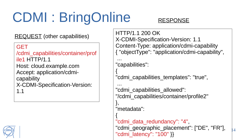### RESPONSE

REQUEST (other capabilities)

#### GET

/cdmi\_capabilities/container/prof ile1 HTTP/1.1 Host: cloud.example.com Accept: application/cdmicapability X-CDMI-Specification-Version: 1.1



HTTP/1.1 200 OK X-CDMI-Specification-Version: 1.1 Content-Type: application/cdmi-capability { "objectType": "application/cdmi-capability",

... "capabilities":

{ "cdmi capabilities templates": "true",

...

"cdmi capabilities allowed": "/cdmi\_capabilities/container/profile2"

}, "metadata":

{ "cdmi\_data\_redundancy": "4", "cdmi\_geographic\_placement": ["DE", "FR"], "cdmi\_latency": "100" }}

14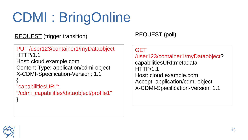REQUEST (trigger transition) REQUEST (poll)

PUT /user123/container1/myDataobject HTTP/1.1 Host: cloud.example.com Content-Type: application/cdmi-object X-CDMI-Specification-Version: 1.1

"capabilitiesURI": "/cdmi\_capabilities/dataobject/profile1"

#### GET

/user123/container1/myDataobject? capabilitiesURI;metadata HTTP/1.1 Host: cloud.example.com Accept: application/cdmi-object X-CDMI-Specification-Version: 1.1



{

}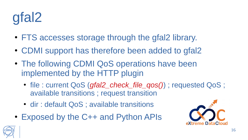# gfal2

- FTS accesses storage through the gfal2 library.
- CDMI support has therefore been added to gfal2
- The following CDMI QoS operations have been implemented by the HTTP plugin
	- file : current QoS (*gfal2\_check\_file\_qos()*) ; requested QoS ; available transitions ; request transition
	- dir : default QoS ; available transitions
- Exposed by the C++ and Python APIs



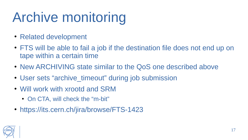# Archive monitoring

- Related development
- FTS will be able to fail a job if the destination file does not end up on tape within a certain time
- New ARCHIVING state similar to the QoS one described above
- User sets "archive timeout" during job submission
- Will work with xrootd and SRM
	- On CTA, will check the "m-bit"
- https://its.cern.ch/jira/browse/FTS-1423

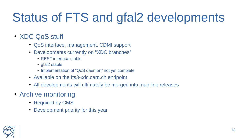### Status of FTS and gfal2 developments

### • XDC QoS stuff

- QoS interface, management, CDMI support
- Developments currently on "XDC branches"
	- REST interface stable
	- $\cdot$  gfal2 stable
	- Implementation of "QoS daemon" not yet complete
- Available on the fts3-xdc.cern.ch endpoint
- All developments will ultimately be merged into mainline releases
- Archive monitoring
	- Required by CMS
	- Development priority for this year